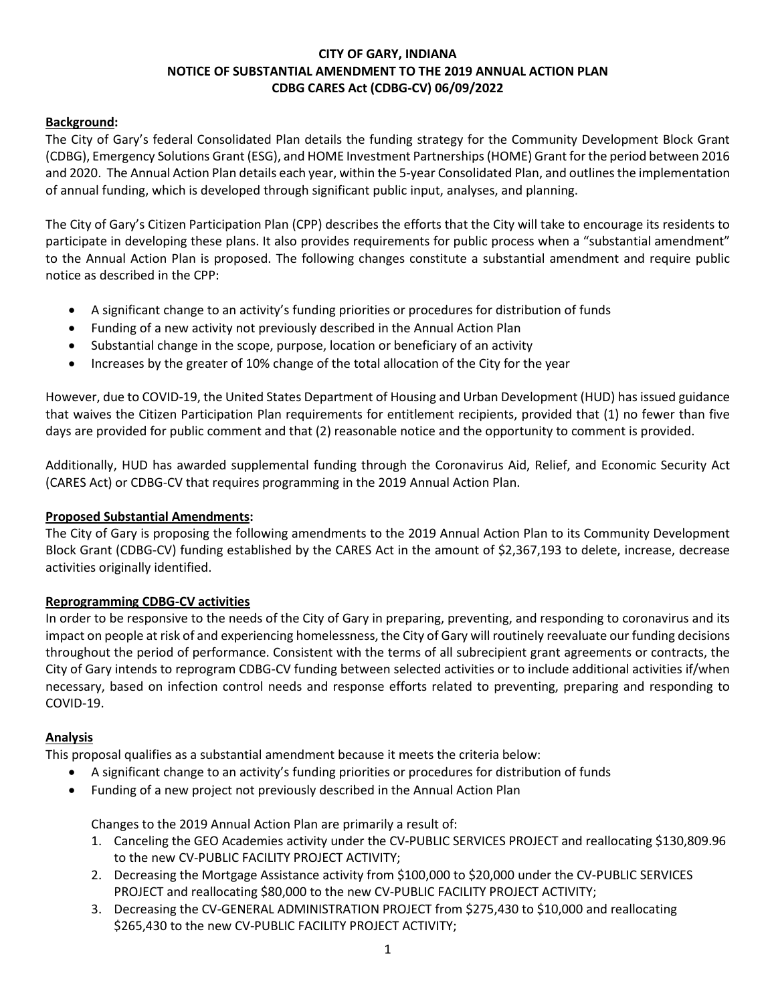## **CITY OF GARY, INDIANA NOTICE OF SUBSTANTIAL AMENDMENT TO THE 2019 ANNUAL ACTION PLAN CDBG CARES Act (CDBG-CV) 06/09/2022**

## **Background:**

The City of Gary's federal Consolidated Plan details the funding strategy for the Community Development Block Grant (CDBG), Emergency Solutions Grant (ESG), and HOME Investment Partnerships (HOME) Grant for the period between 2016 and 2020. The Annual Action Plan details each year, within the 5-year Consolidated Plan, and outlines the implementation of annual funding, which is developed through significant public input, analyses, and planning.

The City of Gary's Citizen Participation Plan (CPP) describes the efforts that the City will take to encourage its residents to participate in developing these plans. It also provides requirements for public process when a "substantial amendment" to the Annual Action Plan is proposed. The following changes constitute a substantial amendment and require public notice as described in the CPP:

- A significant change to an activity's funding priorities or procedures for distribution of funds
- Funding of a new activity not previously described in the Annual Action Plan
- Substantial change in the scope, purpose, location or beneficiary of an activity
- Increases by the greater of 10% change of the total allocation of the City for the year

However, due to COVID-19, the United States Department of Housing and Urban Development (HUD) has issued guidance that waives the Citizen Participation Plan requirements for entitlement recipients, provided that (1) no fewer than five days are provided for public comment and that (2) reasonable notice and the opportunity to comment is provided.

Additionally, HUD has awarded supplemental funding through the Coronavirus Aid, Relief, and Economic Security Act (CARES Act) or CDBG-CV that requires programming in the 2019 Annual Action Plan.

### **Proposed Substantial Amendments:**

The City of Gary is proposing the following amendments to the 2019 Annual Action Plan to its Community Development Block Grant (CDBG-CV) funding established by the CARES Act in the amount of \$2,367,193 to delete, increase, decrease activities originally identified.

### **Reprogramming CDBG-CV activities**

In order to be responsive to the needs of the City of Gary in preparing, preventing, and responding to coronavirus and its impact on people at risk of and experiencing homelessness, the City of Gary will routinely reevaluate our funding decisions throughout the period of performance. Consistent with the terms of all subrecipient grant agreements or contracts, the City of Gary intends to reprogram CDBG-CV funding between selected activities or to include additional activities if/when necessary, based on infection control needs and response efforts related to preventing, preparing and responding to COVID-19.

### **Analysis**

This proposal qualifies as a substantial amendment because it meets the criteria below:

- A significant change to an activity's funding priorities or procedures for distribution of funds
- Funding of a new project not previously described in the Annual Action Plan

Changes to the 2019 Annual Action Plan are primarily a result of:

- 1. Canceling the GEO Academies activity under the CV-PUBLIC SERVICES PROJECT and reallocating \$130,809.96 to the new CV-PUBLIC FACILITY PROJECT ACTIVITY;
- 2. Decreasing the Mortgage Assistance activity from \$100,000 to \$20,000 under the CV-PUBLIC SERVICES PROJECT and reallocating \$80,000 to the new CV-PUBLIC FACILITY PROJECT ACTIVITY;
- 3. Decreasing the CV-GENERAL ADMINISTRATION PROJECT from \$275,430 to \$10,000 and reallocating \$265,430 to the new CV-PUBLIC FACILITY PROJECT ACTIVITY;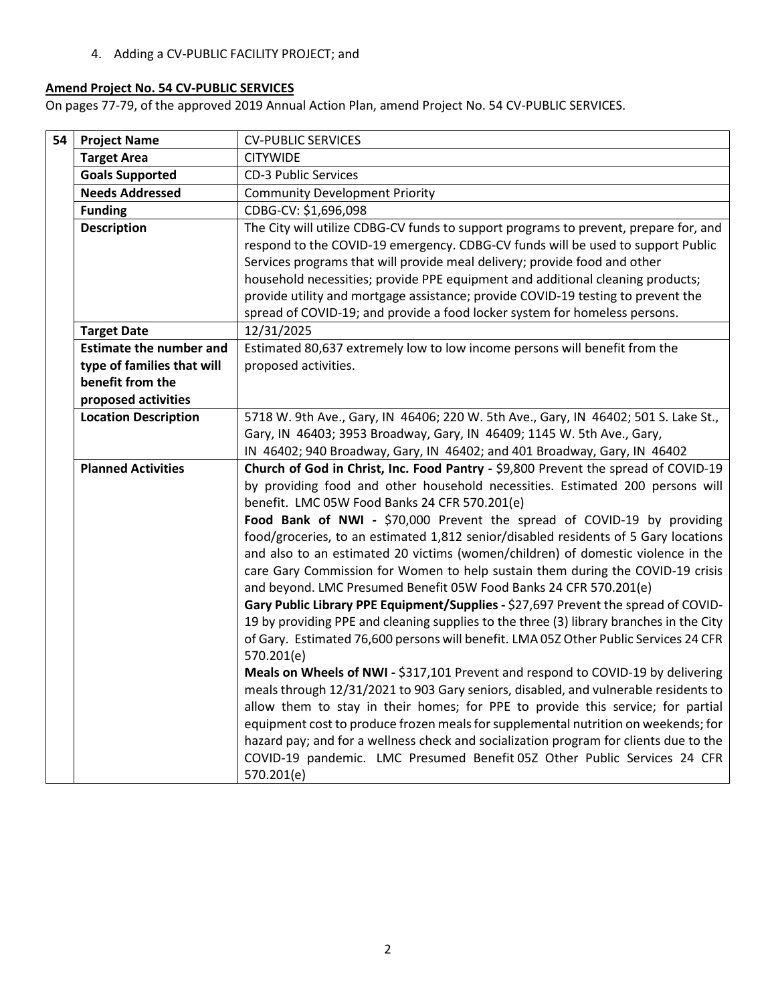4. Adding a CV-PUBLIC FACILITY PROJECT; and

# **Amend Project No. 54 CV-PUBLIC SERVICES**

On pages 77-79, of the approved 2019 Annual Action Plan, amend Project No. 54 CV-PUBLIC SERVICES.

| The City will utilize CDBG-CV funds to support programs to prevent, prepare for, and<br>respond to the COVID-19 emergency. CDBG-CV funds will be used to support Public<br>household necessities; provide PPE equipment and additional cleaning products; |
|-----------------------------------------------------------------------------------------------------------------------------------------------------------------------------------------------------------------------------------------------------------|
|                                                                                                                                                                                                                                                           |
|                                                                                                                                                                                                                                                           |
|                                                                                                                                                                                                                                                           |
|                                                                                                                                                                                                                                                           |
|                                                                                                                                                                                                                                                           |
|                                                                                                                                                                                                                                                           |
|                                                                                                                                                                                                                                                           |
|                                                                                                                                                                                                                                                           |
| provide utility and mortgage assistance; provide COVID-19 testing to prevent the                                                                                                                                                                          |
|                                                                                                                                                                                                                                                           |
|                                                                                                                                                                                                                                                           |
|                                                                                                                                                                                                                                                           |
|                                                                                                                                                                                                                                                           |
|                                                                                                                                                                                                                                                           |
| 5718 W. 9th Ave., Gary, IN 46406; 220 W. 5th Ave., Gary, IN 46402; 501 S. Lake St.,                                                                                                                                                                       |
|                                                                                                                                                                                                                                                           |
|                                                                                                                                                                                                                                                           |
| Church of God in Christ, Inc. Food Pantry - \$9,800 Prevent the spread of COVID-19                                                                                                                                                                        |
| by providing food and other household necessities. Estimated 200 persons will                                                                                                                                                                             |
|                                                                                                                                                                                                                                                           |
| Food Bank of NWI - \$70,000 Prevent the spread of COVID-19 by providing                                                                                                                                                                                   |
| food/groceries, to an estimated 1,812 senior/disabled residents of 5 Gary locations                                                                                                                                                                       |
| and also to an estimated 20 victims (women/children) of domestic violence in the                                                                                                                                                                          |
| care Gary Commission for Women to help sustain them during the COVID-19 crisis                                                                                                                                                                            |
|                                                                                                                                                                                                                                                           |
| Gary Public Library PPE Equipment/Supplies - \$27,697 Prevent the spread of COVID-                                                                                                                                                                        |
| 19 by providing PPE and cleaning supplies to the three (3) library branches in the City                                                                                                                                                                   |
| of Gary. Estimated 76,600 persons will benefit. LMA 05Z Other Public Services 24 CFR                                                                                                                                                                      |
|                                                                                                                                                                                                                                                           |
| Meals on Wheels of NWI - \$317,101 Prevent and respond to COVID-19 by delivering                                                                                                                                                                          |
| meals through 12/31/2021 to 903 Gary seniors, disabled, and vulnerable residents to                                                                                                                                                                       |
| allow them to stay in their homes; for PPE to provide this service; for partial                                                                                                                                                                           |
| equipment cost to produce frozen meals for supplemental nutrition on weekends; for                                                                                                                                                                        |
| hazard pay; and for a wellness check and socialization program for clients due to the                                                                                                                                                                     |
| COVID-19 pandemic. LMC Presumed Benefit 05Z Other Public Services 24 CFR                                                                                                                                                                                  |
| IN 46402; 940 Broadway, Gary, IN 46402; and 401 Broadway, Gary, IN 46402                                                                                                                                                                                  |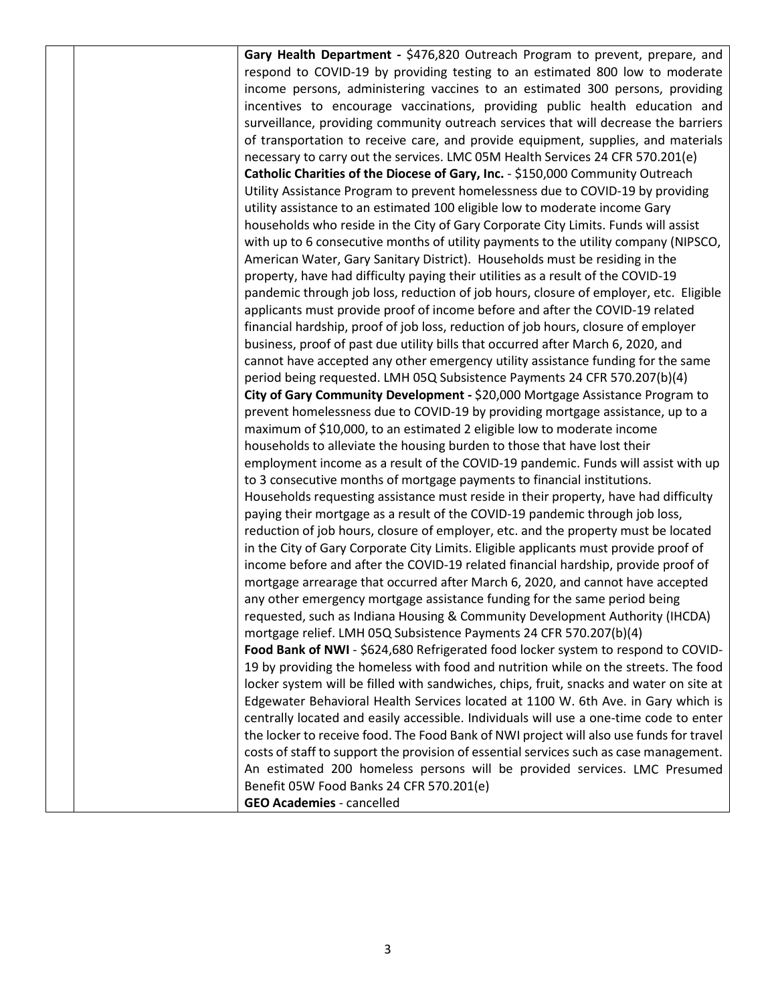| Gary Health Department - \$476,820 Outreach Program to prevent, prepare, and            |
|-----------------------------------------------------------------------------------------|
| respond to COVID-19 by providing testing to an estimated 800 low to moderate            |
| income persons, administering vaccines to an estimated 300 persons, providing           |
| incentives to encourage vaccinations, providing public health education and             |
| surveillance, providing community outreach services that will decrease the barriers     |
| of transportation to receive care, and provide equipment, supplies, and materials       |
| necessary to carry out the services. LMC 05M Health Services 24 CFR 570.201(e)          |
| Catholic Charities of the Diocese of Gary, Inc. - \$150,000 Community Outreach          |
| Utility Assistance Program to prevent homelessness due to COVID-19 by providing         |
| utility assistance to an estimated 100 eligible low to moderate income Gary             |
| households who reside in the City of Gary Corporate City Limits. Funds will assist      |
| with up to 6 consecutive months of utility payments to the utility company (NIPSCO,     |
| American Water, Gary Sanitary District). Households must be residing in the             |
| property, have had difficulty paying their utilities as a result of the COVID-19        |
| pandemic through job loss, reduction of job hours, closure of employer, etc. Eligible   |
| applicants must provide proof of income before and after the COVID-19 related           |
| financial hardship, proof of job loss, reduction of job hours, closure of employer      |
| business, proof of past due utility bills that occurred after March 6, 2020, and        |
| cannot have accepted any other emergency utility assistance funding for the same        |
| period being requested. LMH 05Q Subsistence Payments 24 CFR 570.207(b)(4)               |
| City of Gary Community Development - \$20,000 Mortgage Assistance Program to            |
| prevent homelessness due to COVID-19 by providing mortgage assistance, up to a          |
| maximum of \$10,000, to an estimated 2 eligible low to moderate income                  |
| households to alleviate the housing burden to those that have lost their                |
| employment income as a result of the COVID-19 pandemic. Funds will assist with up       |
| to 3 consecutive months of mortgage payments to financial institutions.                 |
| Households requesting assistance must reside in their property, have had difficulty     |
| paying their mortgage as a result of the COVID-19 pandemic through job loss,            |
| reduction of job hours, closure of employer, etc. and the property must be located      |
| in the City of Gary Corporate City Limits. Eligible applicants must provide proof of    |
| income before and after the COVID-19 related financial hardship, provide proof of       |
| mortgage arrearage that occurred after March 6, 2020, and cannot have accepted          |
| any other emergency mortgage assistance funding for the same period being               |
| requested, such as Indiana Housing & Community Development Authority (IHCDA)            |
| mortgage relief. LMH 05Q Subsistence Payments 24 CFR 570.207(b)(4)                      |
| Food Bank of NWI - \$624,680 Refrigerated food locker system to respond to COVID-       |
| 19 by providing the homeless with food and nutrition while on the streets. The food     |
| locker system will be filled with sandwiches, chips, fruit, snacks and water on site at |
| Edgewater Behavioral Health Services located at 1100 W. 6th Ave. in Gary which is       |
| centrally located and easily accessible. Individuals will use a one-time code to enter  |
| the locker to receive food. The Food Bank of NWI project will also use funds for travel |
| costs of staff to support the provision of essential services such as case management.  |
| An estimated 200 homeless persons will be provided services. LMC Presumed               |
| Benefit 05W Food Banks 24 CFR 570.201(e)                                                |
| <b>GEO Academies - cancelled</b>                                                        |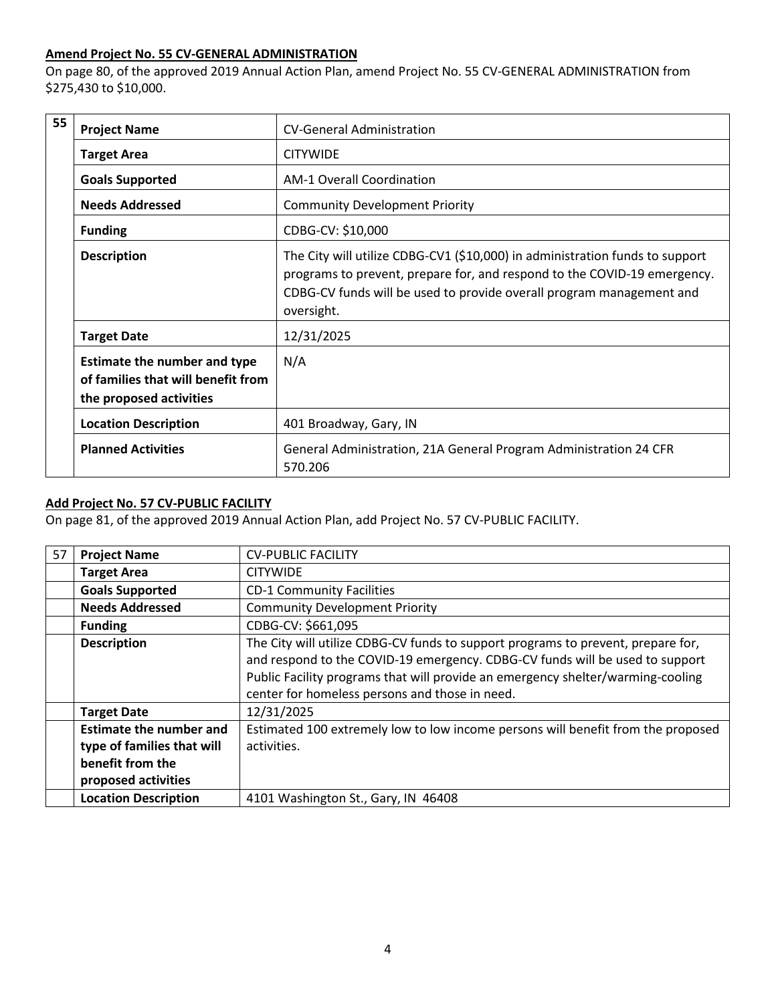### **Amend Project No. 55 CV-GENERAL ADMINISTRATION**

On page 80, of the approved 2019 Annual Action Plan, amend Project No. 55 CV-GENERAL ADMINISTRATION from \$275,430 to \$10,000.

| 55 | <b>Project Name</b>                                                                                  | <b>CV-General Administration</b>                                                                                                                                                                                                               |
|----|------------------------------------------------------------------------------------------------------|------------------------------------------------------------------------------------------------------------------------------------------------------------------------------------------------------------------------------------------------|
|    | <b>Target Area</b>                                                                                   | <b>CITYWIDE</b>                                                                                                                                                                                                                                |
|    | <b>Goals Supported</b>                                                                               | <b>AM-1 Overall Coordination</b>                                                                                                                                                                                                               |
|    | <b>Needs Addressed</b>                                                                               | <b>Community Development Priority</b>                                                                                                                                                                                                          |
|    | <b>Funding</b>                                                                                       | CDBG-CV: \$10,000                                                                                                                                                                                                                              |
|    | <b>Description</b>                                                                                   | The City will utilize CDBG-CV1 (\$10,000) in administration funds to support<br>programs to prevent, prepare for, and respond to the COVID-19 emergency.<br>CDBG-CV funds will be used to provide overall program management and<br>oversight. |
|    | <b>Target Date</b>                                                                                   | 12/31/2025                                                                                                                                                                                                                                     |
|    | <b>Estimate the number and type</b><br>of families that will benefit from<br>the proposed activities | N/A                                                                                                                                                                                                                                            |
|    | <b>Location Description</b>                                                                          | 401 Broadway, Gary, IN                                                                                                                                                                                                                         |
|    | <b>Planned Activities</b>                                                                            | General Administration, 21A General Program Administration 24 CFR<br>570.206                                                                                                                                                                   |

# **Add Project No. 57 CV-PUBLIC FACILITY**

On page 81, of the approved 2019 Annual Action Plan, add Project No. 57 CV-PUBLIC FACILITY.

| 57 | <b>Project Name</b>            | <b>CV-PUBLIC FACILITY</b>                                                                                                                                                                                                                                                                             |
|----|--------------------------------|-------------------------------------------------------------------------------------------------------------------------------------------------------------------------------------------------------------------------------------------------------------------------------------------------------|
|    | <b>Target Area</b>             | <b>CITYWIDE</b>                                                                                                                                                                                                                                                                                       |
|    | <b>Goals Supported</b>         | <b>CD-1 Community Facilities</b>                                                                                                                                                                                                                                                                      |
|    | <b>Needs Addressed</b>         | <b>Community Development Priority</b>                                                                                                                                                                                                                                                                 |
|    | <b>Funding</b>                 | CDBG-CV: \$661,095                                                                                                                                                                                                                                                                                    |
|    | <b>Description</b>             | The City will utilize CDBG-CV funds to support programs to prevent, prepare for,<br>and respond to the COVID-19 emergency. CDBG-CV funds will be used to support<br>Public Facility programs that will provide an emergency shelter/warming-cooling<br>center for homeless persons and those in need. |
|    | <b>Target Date</b>             | 12/31/2025                                                                                                                                                                                                                                                                                            |
|    | <b>Estimate the number and</b> | Estimated 100 extremely low to low income persons will benefit from the proposed                                                                                                                                                                                                                      |
|    | type of families that will     | activities.                                                                                                                                                                                                                                                                                           |
|    | benefit from the               |                                                                                                                                                                                                                                                                                                       |
|    | proposed activities            |                                                                                                                                                                                                                                                                                                       |
|    | <b>Location Description</b>    | 4101 Washington St., Gary, IN 46408                                                                                                                                                                                                                                                                   |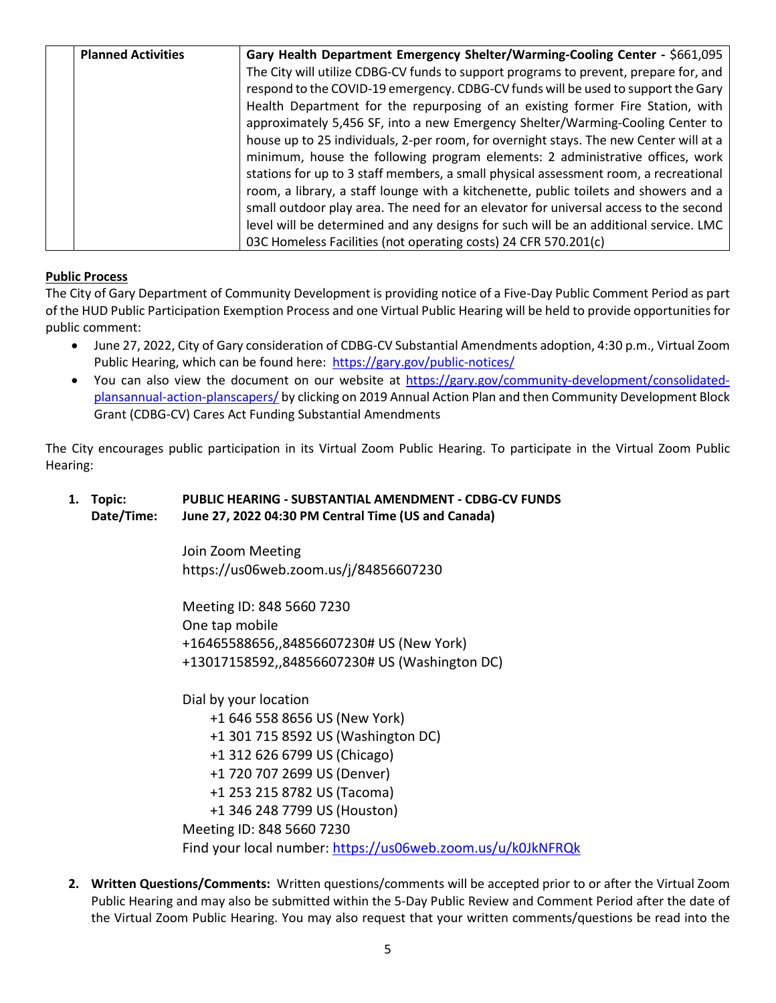| <b>Planned Activities</b> | Gary Health Department Emergency Shelter/Warming-Cooling Center - \$661,095           |
|---------------------------|---------------------------------------------------------------------------------------|
|                           | The City will utilize CDBG-CV funds to support programs to prevent, prepare for, and  |
|                           | respond to the COVID-19 emergency. CDBG-CV funds will be used to support the Gary     |
|                           | Health Department for the repurposing of an existing former Fire Station, with        |
|                           | approximately 5,456 SF, into a new Emergency Shelter/Warming-Cooling Center to        |
|                           | house up to 25 individuals, 2-per room, for overnight stays. The new Center will at a |
|                           | minimum, house the following program elements: 2 administrative offices, work         |
|                           | stations for up to 3 staff members, a small physical assessment room, a recreational  |
|                           | room, a library, a staff lounge with a kitchenette, public toilets and showers and a  |
|                           | small outdoor play area. The need for an elevator for universal access to the second  |
|                           | level will be determined and any designs for such will be an additional service. LMC  |
|                           | 03C Homeless Facilities (not operating costs) 24 CFR 570.201(c)                       |

## **Public Process**

The City of Gary Department of Community Development is providing notice of a Five-Day Public Comment Period as part of the HUD Public Participation Exemption Process and one Virtual Public Hearing will be held to provide opportunities for public comment:

- June 27, 2022, City of Gary consideration of CDBG-CV Substantial Amendments adoption, 4:30 p.m., Virtual Zoom Public Hearing, which can be found here: <https://gary.gov/public-notices/>
- You can also view the document on our website at [https://gary.gov/community-development/consolidated](https://gary.gov/community-development/consolidated-plansannual-action-planscapers/)[plansannual-action-planscapers/](https://gary.gov/community-development/consolidated-plansannual-action-planscapers/) by clicking on 2019 Annual Action Plan and then Community Development Block Grant (CDBG-CV) Cares Act Funding Substantial Amendments

The City encourages public participation in its Virtual Zoom Public Hearing. To participate in the Virtual Zoom Public Hearing:

## **1. Topic: PUBLIC HEARING - SUBSTANTIAL AMENDMENT - CDBG-CV FUNDS Date/Time: June 27, 2022 04:30 PM Central Time (US and Canada)**

Join Zoom Meeting https://us06web.zoom.us/j/84856607230

Meeting ID: 848 5660 7230 One tap mobile +16465588656,,84856607230# US (New York) +13017158592,,84856607230# US (Washington DC)

Dial by your location

- +1 646 558 8656 US (New York) +1 301 715 8592 US (Washington DC) +1 312 626 6799 US (Chicago) +1 720 707 2699 US (Denver) +1 253 215 8782 US (Tacoma) +1 346 248 7799 US (Houston) Meeting ID: 848 5660 7230 Find your local number:<https://us06web.zoom.us/u/k0JkNFRQk>
- **2. Written Questions/Comments:** Written questions/comments will be accepted prior to or after the Virtual Zoom Public Hearing and may also be submitted within the 5-Day Public Review and Comment Period after the date of the Virtual Zoom Public Hearing. You may also request that your written comments/questions be read into the